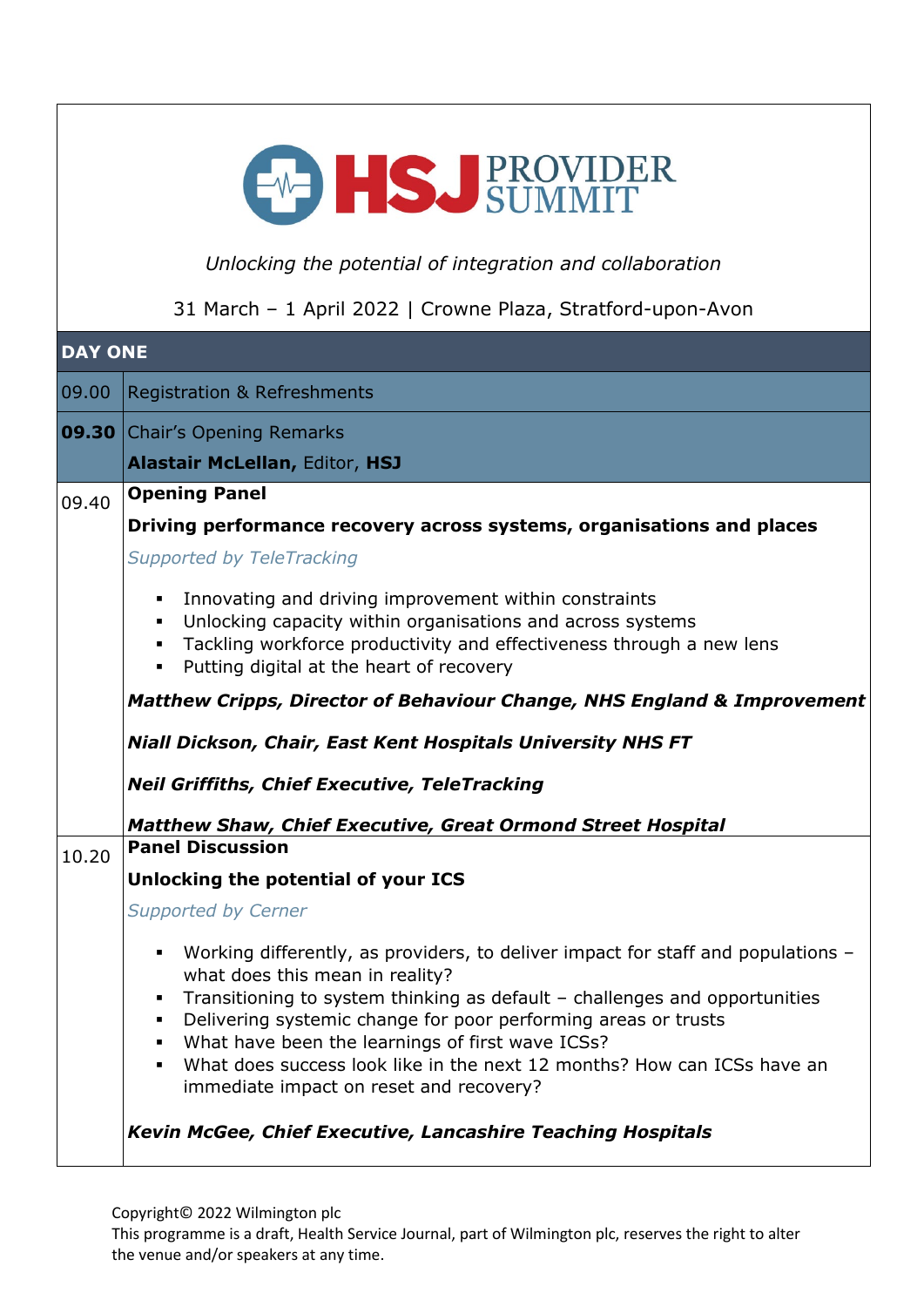| EMPILS PROVIDER                                             |                                                                                                                                                                                                                                                                                                                                                                                                                                                               |  |  |  |  |
|-------------------------------------------------------------|---------------------------------------------------------------------------------------------------------------------------------------------------------------------------------------------------------------------------------------------------------------------------------------------------------------------------------------------------------------------------------------------------------------------------------------------------------------|--|--|--|--|
|                                                             | Unlocking the potential of integration and collaboration                                                                                                                                                                                                                                                                                                                                                                                                      |  |  |  |  |
| 31 March - 1 April 2022   Crowne Plaza, Stratford-upon-Avon |                                                                                                                                                                                                                                                                                                                                                                                                                                                               |  |  |  |  |
| <b>DAY ONE</b>                                              |                                                                                                                                                                                                                                                                                                                                                                                                                                                               |  |  |  |  |
| 09.00                                                       | <b>Registration &amp; Refreshments</b>                                                                                                                                                                                                                                                                                                                                                                                                                        |  |  |  |  |
| 09.30                                                       | <b>Chair's Opening Remarks</b>                                                                                                                                                                                                                                                                                                                                                                                                                                |  |  |  |  |
|                                                             | <b>Alastair McLellan, Editor, HSJ</b>                                                                                                                                                                                                                                                                                                                                                                                                                         |  |  |  |  |
| 09.40                                                       | <b>Opening Panel</b><br>Driving performance recovery across systems, organisations and places<br><b>Supported by TeleTracking</b>                                                                                                                                                                                                                                                                                                                             |  |  |  |  |
|                                                             | Innovating and driving improvement within constraints<br>$\blacksquare$<br>• Unlocking capacity within organisations and across systems<br>Tackling workforce productivity and effectiveness through a new lens<br>Putting digital at the heart of recovery<br><b>Matthew Cripps, Director of Behaviour Change, NHS England &amp; Improvement</b>                                                                                                             |  |  |  |  |
|                                                             | Niall Dickson, Chair, East Kent Hospitals University NHS FT                                                                                                                                                                                                                                                                                                                                                                                                   |  |  |  |  |
|                                                             | <b>Neil Griffiths, Chief Executive, TeleTracking</b>                                                                                                                                                                                                                                                                                                                                                                                                          |  |  |  |  |
| 10.20                                                       | <b>Matthew Shaw, Chief Executive, Great Ormond Street Hospital</b><br><b>Panel Discussion</b>                                                                                                                                                                                                                                                                                                                                                                 |  |  |  |  |
|                                                             | Unlocking the potential of your ICS                                                                                                                                                                                                                                                                                                                                                                                                                           |  |  |  |  |
|                                                             | <b>Supported by Cerner</b>                                                                                                                                                                                                                                                                                                                                                                                                                                    |  |  |  |  |
|                                                             | Working differently, as providers, to deliver impact for staff and populations -<br>٠<br>what does this mean in reality?<br>Transitioning to system thinking as default – challenges and opportunities<br>Delivering systemic change for poor performing areas or trusts<br>What have been the learnings of first wave ICSs?<br>٠<br>What does success look like in the next 12 months? How can ICSs have an<br>٠.<br>immediate impact on reset and recovery? |  |  |  |  |
|                                                             | <b>Kevin McGee, Chief Executive, Lancashire Teaching Hospitals</b>                                                                                                                                                                                                                                                                                                                                                                                            |  |  |  |  |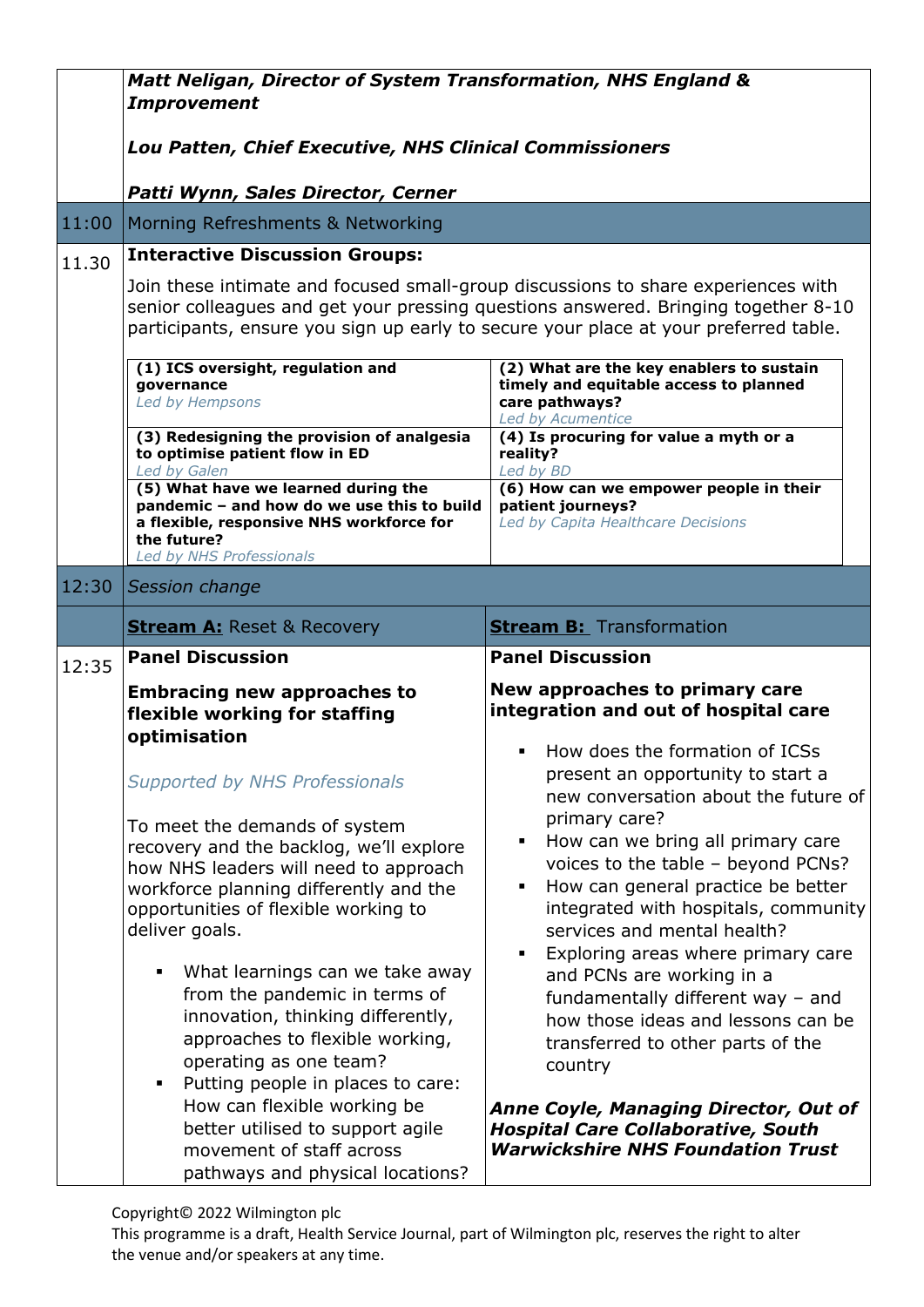|       | Matt Neligan, Director of System Transformation, NHS England &                                                                                                                                                                                                  |                                                                                                                                                                                                                                                            |  |
|-------|-----------------------------------------------------------------------------------------------------------------------------------------------------------------------------------------------------------------------------------------------------------------|------------------------------------------------------------------------------------------------------------------------------------------------------------------------------------------------------------------------------------------------------------|--|
|       | <b>Improvement</b>                                                                                                                                                                                                                                              |                                                                                                                                                                                                                                                            |  |
|       | <b>Lou Patten, Chief Executive, NHS Clinical Commissioners</b>                                                                                                                                                                                                  |                                                                                                                                                                                                                                                            |  |
|       |                                                                                                                                                                                                                                                                 |                                                                                                                                                                                                                                                            |  |
| 11:00 | Patti Wynn, Sales Director, Cerner<br>Morning Refreshments & Networking                                                                                                                                                                                         |                                                                                                                                                                                                                                                            |  |
| 11.30 | <b>Interactive Discussion Groups:</b>                                                                                                                                                                                                                           |                                                                                                                                                                                                                                                            |  |
|       | Join these intimate and focused small-group discussions to share experiences with<br>senior colleagues and get your pressing questions answered. Bringing together 8-10<br>participants, ensure you sign up early to secure your place at your preferred table. |                                                                                                                                                                                                                                                            |  |
|       | (1) ICS oversight, regulation and<br>governance<br>Led by Hempsons                                                                                                                                                                                              | (2) What are the key enablers to sustain<br>timely and equitable access to planned<br>care pathways?<br>Led by Acumentice                                                                                                                                  |  |
|       | (3) Redesigning the provision of analgesia<br>to optimise patient flow in ED<br>Led by Galen                                                                                                                                                                    | (4) Is procuring for value a myth or a<br>reality?<br>Led by BD                                                                                                                                                                                            |  |
|       | (5) What have we learned during the<br>pandemic - and how do we use this to build<br>a flexible, responsive NHS workforce for<br>the future?<br>Led by NHS Professionals                                                                                        | (6) How can we empower people in their<br>patient journeys?<br>Led by Capita Healthcare Decisions                                                                                                                                                          |  |
| 12:30 | Session change                                                                                                                                                                                                                                                  |                                                                                                                                                                                                                                                            |  |
|       | <b>Stream A: Reset &amp; Recovery</b>                                                                                                                                                                                                                           | <b>Stream B:</b> Transformation                                                                                                                                                                                                                            |  |
| 12:35 | <b>Panel Discussion</b>                                                                                                                                                                                                                                         | <b>Panel Discussion</b>                                                                                                                                                                                                                                    |  |
|       | <b>Embracing new approaches to</b><br>flexible working for staffing                                                                                                                                                                                             | New approaches to primary care<br>integration and out of hospital care                                                                                                                                                                                     |  |
|       | optimisation<br><b>Supported by NHS Professionals</b>                                                                                                                                                                                                           | How does the formation of ICSs<br>$\blacksquare$<br>present an opportunity to start a<br>new conversation about the future of                                                                                                                              |  |
|       | To meet the demands of system<br>recovery and the backlog, we'll explore<br>how NHS leaders will need to approach<br>workforce planning differently and the<br>opportunities of flexible working to<br>deliver goals.                                           | primary care?<br>How can we bring all primary care<br>٠<br>voices to the table - beyond PCNs?<br>How can general practice be better<br>Ξ<br>integrated with hospitals, community<br>services and mental health?<br>Exploring areas where primary care<br>Ξ |  |
|       | What learnings can we take away<br>п<br>from the pandemic in terms of<br>innovation, thinking differently,<br>approaches to flexible working,<br>operating as one team?<br>Putting people in places to care:<br>٠                                               | and PCNs are working in a<br>fundamentally different way $-$ and<br>how those ideas and lessons can be<br>transferred to other parts of the<br>country                                                                                                     |  |
|       | How can flexible working be<br>better utilised to support agile<br>movement of staff across<br>pathways and physical locations?                                                                                                                                 | <b>Anne Coyle, Managing Director, Out of</b><br><b>Hospital Care Collaborative, South</b><br><b>Warwickshire NHS Foundation Trust</b>                                                                                                                      |  |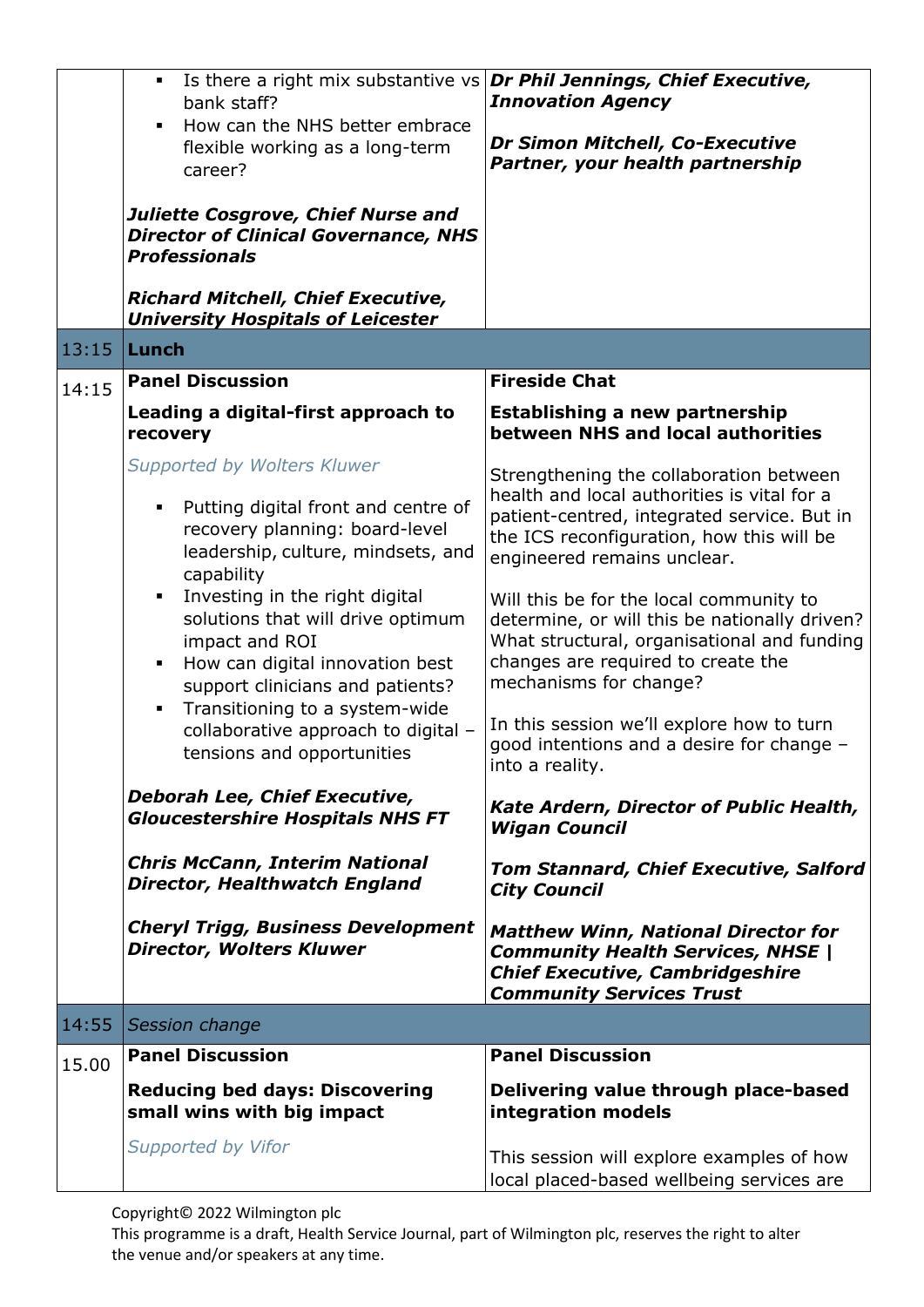|       | bank staff?<br>How can the NHS better embrace<br>flexible working as a long-term<br>career?<br><b>Juliette Cosgrove, Chief Nurse and</b>                                            | Is there a right mix substantive vs <b>Dr Phil Jennings, Chief Executive,</b><br><b>Innovation Agency</b><br>Dr Simon Mitchell, Co-Executive<br>Partner, your health partnership                                  |
|-------|-------------------------------------------------------------------------------------------------------------------------------------------------------------------------------------|-------------------------------------------------------------------------------------------------------------------------------------------------------------------------------------------------------------------|
|       | <b>Director of Clinical Governance, NHS</b><br><b>Professionals</b><br><b>Richard Mitchell, Chief Executive,</b>                                                                    |                                                                                                                                                                                                                   |
| 13:15 | <b>University Hospitals of Leicester</b><br>Lunch                                                                                                                                   |                                                                                                                                                                                                                   |
| 14:15 | <b>Panel Discussion</b>                                                                                                                                                             | <b>Fireside Chat</b>                                                                                                                                                                                              |
|       | Leading a digital-first approach to<br>recovery                                                                                                                                     | <b>Establishing a new partnership</b><br>between NHS and local authorities                                                                                                                                        |
|       | <b>Supported by Wolters Kluwer</b><br>Putting digital front and centre of<br>$\blacksquare$<br>recovery planning: board-level<br>leadership, culture, mindsets, and<br>capability   | Strengthening the collaboration between<br>health and local authorities is vital for a<br>patient-centred, integrated service. But in<br>the ICS reconfiguration, how this will be<br>engineered remains unclear. |
|       | Investing in the right digital<br>$\blacksquare$<br>solutions that will drive optimum<br>impact and ROI<br>How can digital innovation best<br>٠<br>support clinicians and patients? | Will this be for the local community to<br>determine, or will this be nationally driven?<br>What structural, organisational and funding<br>changes are required to create the<br>mechanisms for change?           |
|       | Transitioning to a system-wide<br>$\blacksquare$<br>collaborative approach to digital -<br>tensions and opportunities                                                               | In this session we'll explore how to turn<br>good intentions and a desire for change -<br>into a reality.                                                                                                         |
|       | Deborah Lee, Chief Executive,<br><b>Gloucestershire Hospitals NHS FT</b>                                                                                                            | <b>Kate Ardern, Director of Public Health,</b><br><b>Wigan Council</b>                                                                                                                                            |
|       | <b>Chris McCann, Interim National</b><br>Director, Healthwatch England                                                                                                              | Tom Stannard, Chief Executive, Salford<br><b>City Council</b>                                                                                                                                                     |
|       | <b>Cheryl Trigg, Business Development</b><br><b>Director, Wolters Kluwer</b>                                                                                                        | <b>Matthew Winn, National Director for</b><br><b>Community Health Services, NHSE  </b><br><b>Chief Executive, Cambridgeshire</b><br><b>Community Services Trust</b>                                               |
| 14:55 | Session change                                                                                                                                                                      |                                                                                                                                                                                                                   |
| 15.00 | <b>Panel Discussion</b>                                                                                                                                                             | <b>Panel Discussion</b>                                                                                                                                                                                           |
|       | <b>Reducing bed days: Discovering</b><br>small wins with big impact                                                                                                                 | Delivering value through place-based<br>integration models                                                                                                                                                        |
|       | <b>Supported by Vifor</b>                                                                                                                                                           | This session will explore examples of how<br>local placed-based wellbeing services are                                                                                                                            |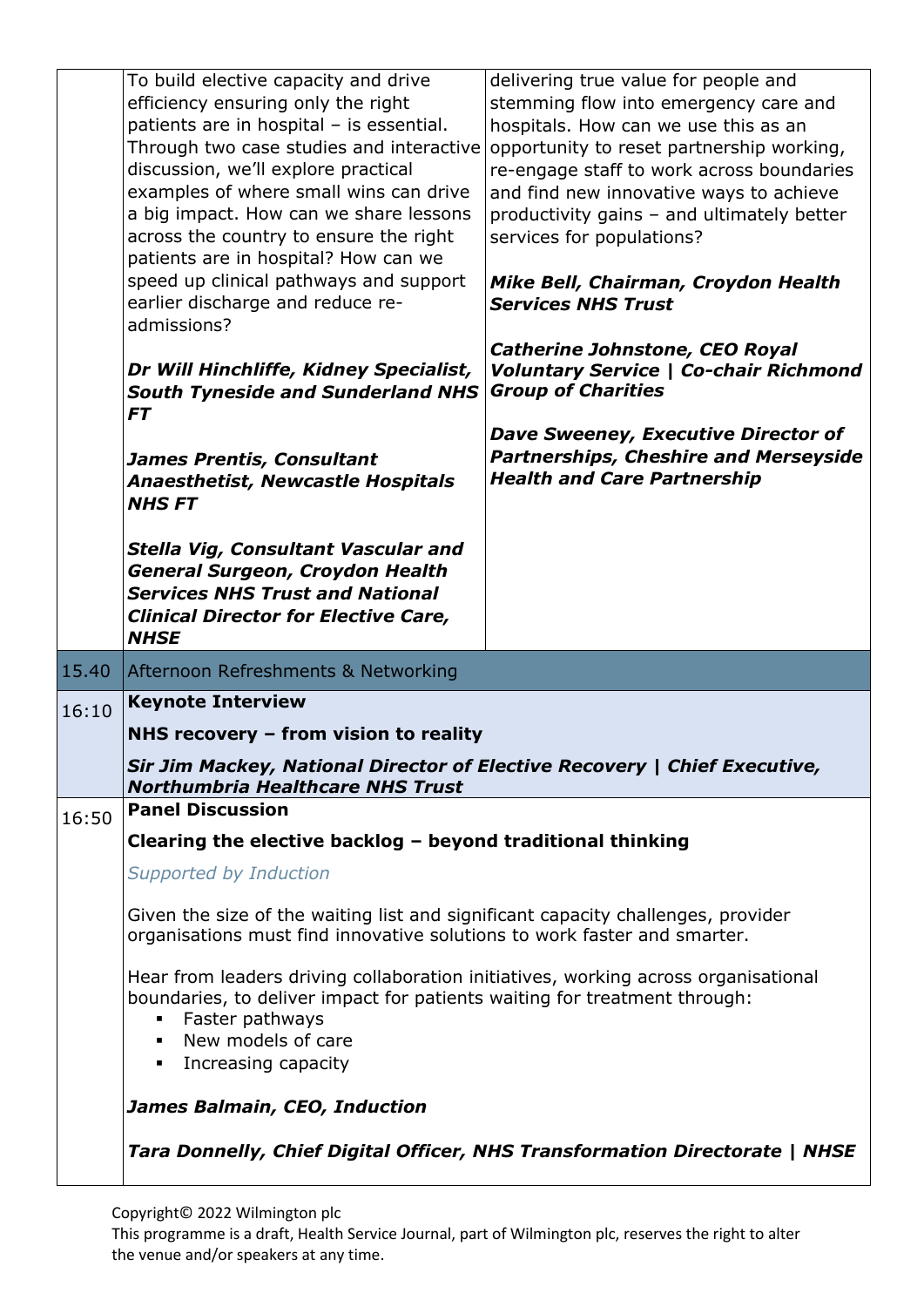|       | To build elective capacity and drive                                                                                                                         | delivering true value for people and                                        |
|-------|--------------------------------------------------------------------------------------------------------------------------------------------------------------|-----------------------------------------------------------------------------|
|       | efficiency ensuring only the right                                                                                                                           | stemming flow into emergency care and                                       |
|       | patients are in hospital - is essential.                                                                                                                     | hospitals. How can we use this as an                                        |
|       | Through two case studies and interactive                                                                                                                     | opportunity to reset partnership working,                                   |
|       | discussion, we'll explore practical                                                                                                                          | re-engage staff to work across boundaries                                   |
|       | examples of where small wins can drive                                                                                                                       | and find new innovative ways to achieve                                     |
|       | a big impact. How can we share lessons                                                                                                                       | productivity gains - and ultimately better                                  |
|       | across the country to ensure the right                                                                                                                       | services for populations?                                                   |
|       | patients are in hospital? How can we                                                                                                                         |                                                                             |
|       | speed up clinical pathways and support                                                                                                                       | Mike Bell, Chairman, Croydon Health                                         |
|       | earlier discharge and reduce re-                                                                                                                             | <b>Services NHS Trust</b>                                                   |
|       | admissions?                                                                                                                                                  |                                                                             |
|       |                                                                                                                                                              | <b>Catherine Johnstone, CEO Royal</b>                                       |
|       | Dr Will Hinchliffe, Kidney Specialist,                                                                                                                       | <b>Voluntary Service   Co-chair Richmond</b>                                |
|       | <b>South Tyneside and Sunderland NHS</b>                                                                                                                     | <b>Group of Charities</b>                                                   |
|       | <b>FT</b>                                                                                                                                                    |                                                                             |
|       |                                                                                                                                                              | <b>Dave Sweeney, Executive Director of</b>                                  |
|       | <b>James Prentis, Consultant</b>                                                                                                                             | <b>Partnerships, Cheshire and Merseyside</b>                                |
|       | <b>Anaesthetist, Newcastle Hospitals</b>                                                                                                                     | <b>Health and Care Partnership</b>                                          |
|       | <b>NHSFT</b>                                                                                                                                                 |                                                                             |
|       |                                                                                                                                                              |                                                                             |
|       | Stella Vig, Consultant Vascular and                                                                                                                          |                                                                             |
|       | <b>General Surgeon, Croydon Health</b>                                                                                                                       |                                                                             |
|       | <b>Services NHS Trust and National</b>                                                                                                                       |                                                                             |
|       | <b>Clinical Director for Elective Care,</b>                                                                                                                  |                                                                             |
|       |                                                                                                                                                              |                                                                             |
|       |                                                                                                                                                              |                                                                             |
|       | <b>NHSE</b>                                                                                                                                                  |                                                                             |
| 15.40 | Afternoon Refreshments & Networking                                                                                                                          |                                                                             |
| 16:10 | <b>Keynote Interview</b>                                                                                                                                     |                                                                             |
|       | NHS recovery $-$ from vision to reality                                                                                                                      |                                                                             |
|       | Sir Jim Mackey, National Director of Elective Recovery   Chief Executive,                                                                                    |                                                                             |
|       | <b>Northumbria Healthcare NHS Trust</b>                                                                                                                      |                                                                             |
| 16:50 | <b>Panel Discussion</b>                                                                                                                                      |                                                                             |
|       | Clearing the elective backlog - beyond traditional thinking                                                                                                  |                                                                             |
|       | <b>Supported by Induction</b>                                                                                                                                |                                                                             |
|       |                                                                                                                                                              |                                                                             |
|       | Given the size of the waiting list and significant capacity challenges, provider<br>organisations must find innovative solutions to work faster and smarter. |                                                                             |
|       |                                                                                                                                                              |                                                                             |
|       | Hear from leaders driving collaboration initiatives, working across organisational                                                                           |                                                                             |
|       | boundaries, to deliver impact for patients waiting for treatment through:<br>٠                                                                               |                                                                             |
|       | Faster pathways<br>٠.                                                                                                                                        |                                                                             |
|       | New models of care<br>٠                                                                                                                                      |                                                                             |
|       | Increasing capacity                                                                                                                                          |                                                                             |
|       | James Balmain, CEO, Induction                                                                                                                                |                                                                             |
|       |                                                                                                                                                              | Tara Donnelly, Chief Digital Officer, NHS Transformation Directorate   NHSE |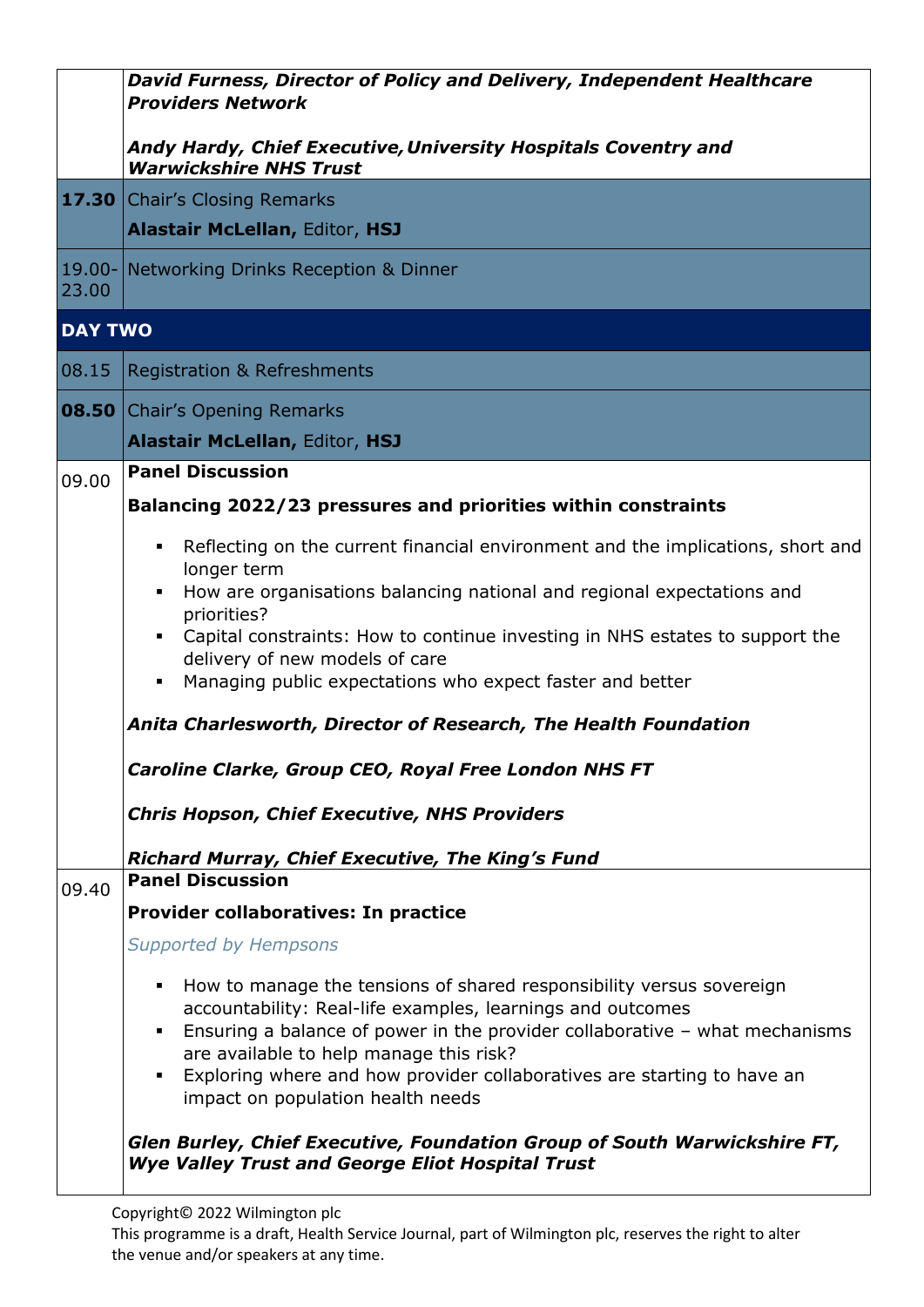|                    | David Furness, Director of Policy and Delivery, Independent Healthcare<br><b>Providers Network</b>                                               |  |  |
|--------------------|--------------------------------------------------------------------------------------------------------------------------------------------------|--|--|
|                    | Andy Hardy, Chief Executive, University Hospitals Coventry and<br><b>Warwickshire NHS Trust</b>                                                  |  |  |
|                    | <b>17.30 Chair's Closing Remarks</b>                                                                                                             |  |  |
|                    | <b>Alastair McLellan, Editor, HSJ</b>                                                                                                            |  |  |
| $19.00 -$<br>23.00 | <b>Networking Drinks Reception &amp; Dinner</b>                                                                                                  |  |  |
|                    | <b>DAY TWO</b>                                                                                                                                   |  |  |
| 08.15              | <b>Registration &amp; Refreshments</b>                                                                                                           |  |  |
|                    | <b>08.50</b> Chair's Opening Remarks                                                                                                             |  |  |
|                    | <b>Alastair McLellan, Editor, HSJ</b>                                                                                                            |  |  |
| 09.00              | <b>Panel Discussion</b>                                                                                                                          |  |  |
|                    | Balancing 2022/23 pressures and priorities within constraints                                                                                    |  |  |
|                    | Reflecting on the current financial environment and the implications, short and<br>$\blacksquare$<br>longer term                                 |  |  |
|                    | How are organisations balancing national and regional expectations and                                                                           |  |  |
|                    | priorities?<br>Capital constraints: How to continue investing in NHS estates to support the                                                      |  |  |
|                    | delivery of new models of care                                                                                                                   |  |  |
|                    | Managing public expectations who expect faster and better                                                                                        |  |  |
|                    | Anita Charlesworth, Director of Research, The Health Foundation                                                                                  |  |  |
|                    | Caroline Clarke, Group CEO, Royal Free London NHS FT                                                                                             |  |  |
|                    | <b>Chris Hopson, Chief Executive, NHS Providers</b>                                                                                              |  |  |
|                    | <b>Richard Murray, Chief Executive, The King's Fund</b>                                                                                          |  |  |
| 09.40              | <b>Panel Discussion</b>                                                                                                                          |  |  |
|                    | Provider collaboratives: In practice                                                                                                             |  |  |
|                    | <b>Supported by Hempsons</b>                                                                                                                     |  |  |
|                    | How to manage the tensions of shared responsibility versus sovereign<br>٠                                                                        |  |  |
|                    | accountability: Real-life examples, learnings and outcomes<br>Ensuring a balance of power in the provider collaborative $-$ what mechanisms<br>٠ |  |  |
|                    | are available to help manage this risk?<br>Exploring where and how provider collaboratives are starting to have an                               |  |  |
|                    | impact on population health needs                                                                                                                |  |  |
|                    | Glen Burley, Chief Executive, Foundation Group of South Warwickshire FT,<br><b>Wye Valley Trust and George Eliot Hospital Trust</b>              |  |  |